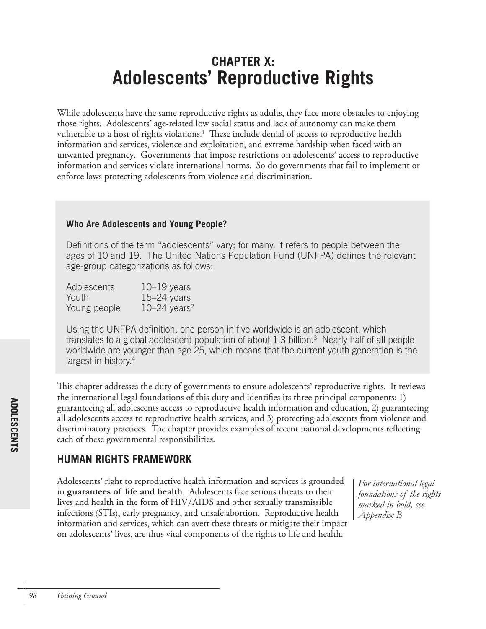# **CHAPTER X: Adolescents' Reproductive Rights**

While adolescents have the same reproductive rights as adults, they face more obstacles to enjoying those rights. Adolescents' age-related low social status and lack of autonomy can make them vulnerable to a host of rights violations. 1 These include denial of access to reproductive health information and services, violence and exploitation, and extreme hardship when faced with an unwanted pregnancy. Governments that impose restrictions on adolescents' access to reproductive information and services violate international norms. So do governments that fail to implement or enforce laws protecting adolescents from violence and discrimination.

## **Who Are Adolescents and Young People?**

Definitions of the term "adolescents" vary; for many, it refers to people between the ages of 10 and 19. The United Nations Population Fund (UNFPA) defines the relevant age-group categorizations as follows:

| <b>Adolescents</b> | $10-19$ years              |
|--------------------|----------------------------|
| Youth              | $15 - 24$ years            |
| Young people       | $10-24$ years <sup>2</sup> |

Using the UNFPA definition, one person in five worldwide is an adolescent, which translates to a global adolescent population of about 1.3 billion.<sup>3</sup> Nearly half of all people worldwide are younger than age 25, which means that the current youth generation is the largest in history.<sup>4</sup>

This chapter addresses the duty of governments to ensure adolescents' reproductive rights. It reviews the international legal foundations of this duty and identifies its three principal components: 1) guaranteeing all adolescents access to reproductive health information and education, 2) guaranteeing all adolescents access to reproductive health services, and 3) protecting adolescents from violence and discriminatory practices. The chapter provides examples of recent national developments reflecting each of these governmental responsibilities.

# **HUMAN RIGHTS FRAMEWORK**

Adolescents' right to reproductive health information and services is grounded in **guarantees of life and health**. Adolescents face serious threats to their lives and health in the form of HIV/AIDS and other sexually transmissible infections (STIs), early pregnancy, and unsafe abortion. Reproductive health information and services, which can avert these threats or mitigate their impact on adolescents' lives, are thus vital components of the rights to life and health.

*For international legal foundations of the rights marked in bold, see Appendix B*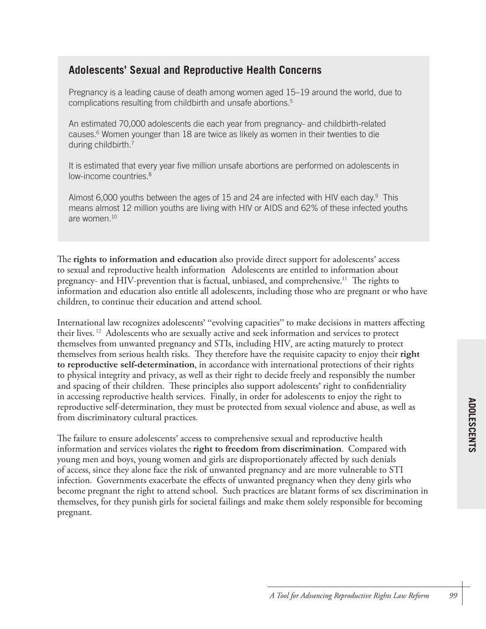# **Adolescents' Sexual and Reproductive Health Concerns**

Pregnancy is a leading cause of death among women aged 15–19 around the world, due to complications resulting from childbirth and unsafe abortions. 5

An estimated 70,000 adolescents die each year from pregnancy- and childbirth-related causes. <sup>6</sup> Women younger than 18 are twice as likely as women in their twenties to die during childbirth. 7

It is estimated that every year five million unsafe abortions are performed on adolescents in low-income countries. 8

Almost 6,000 youths between the ages of 15 and 24 are infected with HIV each day.<sup>9</sup> This means almost 12 million youths are living with HIV or AIDS and 62% of these infected youths are women. 10

The **rights to information and education** also provide direct support for adolescents' access to sexual and reproductive health information Adolescents are entitled to information about pregnancy- and HIV-prevention that is factual, unbiased, and comprehensive.<sup>11</sup> The rights to information and education also entitle all adolescents, including those who are pregnant or who have children, to continue their education and attend school.

International law recognizes adolescents' "evolving capacities" to make decisions in matters affecting their lives.<sup>12</sup> Adolescents who are sexually active and seek information and services to protect themselves from unwanted pregnancy and STIs, including HIV, are acting maturely to protect themselves from serious health risks. They therefore have the requisite capacity to enjoy their **right to reproductive self-determination**, in accordance with international protections of their rights to physical integrity and privacy, as well as their right to decide freely and responsibly the number and spacing of their children. These principles also support adolescents' right to confidentiality in accessing reproductive health services. Finally, in order for adolescents to enjoy the right to reproductive self-determination, they must be protected from sexual violence and abuse, as well as from discriminatory cultural practices.

The failure to ensure adolescents' access to comprehensive sexual and reproductive health information and services violates the **right to freedom from discrimination**. Compared with young men and boys, young women and girls are disproportionately affected by such denials of access, since they alone face the risk of unwanted pregnancy and are more vulnerable to STI infection. Governments exacerbate the effects of unwanted pregnancy when they deny girls who become pregnant the right to attend school. Such practices are blatant forms of sex discrimination in themselves, for they punish girls for societal failings and make them solely responsible for becoming pregnant.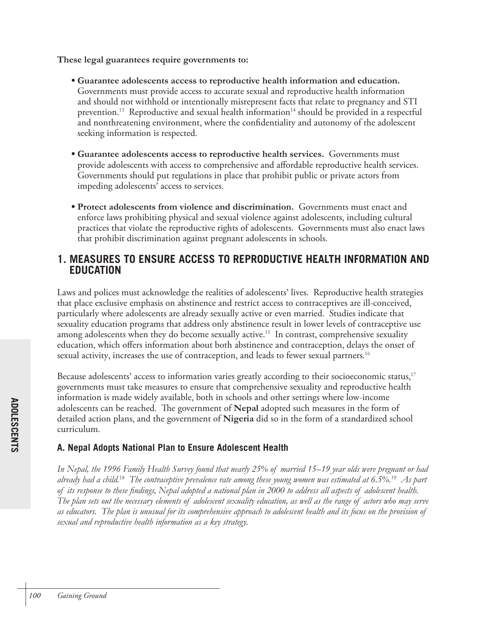**These legal guarantees require governments to:**

- **Guarantee adolescents access to reproductive health information and education.**  Governments must provide access to accurate sexual and reproductive health information and should not withhold or intentionally misrepresent facts that relate to pregnancy and STI prevention. $^{13}$  Reproductive and sexual health information $^{14}$  should be provided in a respectful and nonthreatening environment, where the confidentiality and autonomy of the adolescent seeking information is respected.
- **Guarantee adolescents access to reproductive health services.** Governments must provide adolescents with access to comprehensive and affordable reproductive health services. Governments should put regulations in place that prohibit public or private actors from impeding adolescents' access to services.
- **Protect adolescents from violence and discrimination.** Governments must enact and enforce laws prohibiting physical and sexual violence against adolescents, including cultural practices that violate the reproductive rights of adolescents. Governments must also enact laws that prohibit discrimination against pregnant adolescents in schools.

# **1. MEASURES TO ENSURE ACCESS TO REPRODUCTIVE HEALTH INFORMATION AND EDUCATION**

Laws and polices must acknowledge the realities of adolescents' lives. Reproductive health strategies that place exclusive emphasis on abstinence and restrict access to contraceptives are ill-conceived, particularly where adolescents are already sexually active or even married. Studies indicate that sexuality education programs that address only abstinence result in lower levels of contraceptive use among adolescents when they do become sexually active. 15 In contrast, comprehensive sexuality education, which offers information about both abstinence and contraception, delays the onset of sexual activity, increases the use of contraception, and leads to fewer sexual partners. 16

Because adolescents' access to information varies greatly according to their socioeconomic status,<sup>17</sup> governments must take measures to ensure that comprehensive sexuality and reproductive health information is made widely available, both in schools and other settings where low-income adolescents can be reached. The government of **Nepal** adopted such measures in the form of detailed action plans, and the government of **Nigeria** did so in the form of a standardized school curriculum.

## **A. Nepal Adopts National Plan to Ensure Adolescent Health**

*In Nepal, the 1996 Family Health Survey found that nearly 25% of married 15*–*19 year olds were pregnant or had already had a child.*<sup>18</sup> *The contraceptive prevalence rate among these young women was estimated at 6.5%.19 As part of its response to these findings, Nepal adopted a national plan in 2000 to address all aspects of adolescent health. The plan sets out the necessary elements of adolescent sexuality education, as well as the range of actors who may serve as educators. The plan is unusual for its comprehensive approach to adolescent health and its focus on the provision of sexual and reproductive health information as a key strategy.*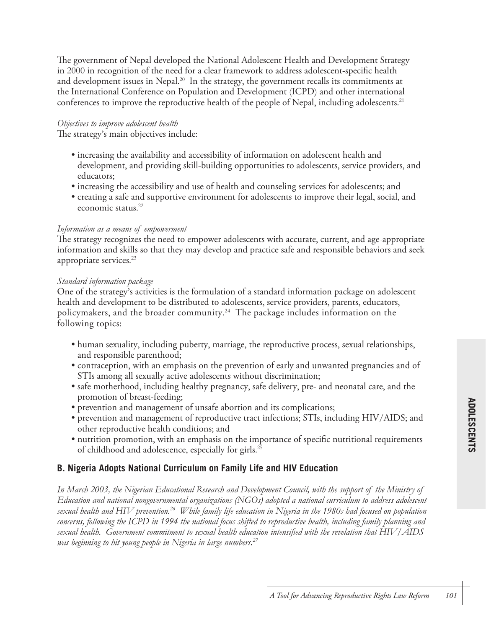The government of Nepal developed the National Adolescent Health and Development Strategy in 2000 in recognition of the need for a clear framework to address adolescent-specific health and development issues in Nepal.<sup>20</sup> In the strategy, the government recalls its commitments at the International Conference on Population and Development (ICPD) and other international conferences to improve the reproductive health of the people of Nepal, including adolescents. 21

#### *Objectives to improve adolescent health*

The strategy's main objectives include:

- increasing the availability and accessibility of information on adolescent health and development, and providing skill-building opportunities to adolescents, service providers, and educators;
- increasing the accessibility and use of health and counseling services for adolescents; and
- creating a safe and supportive environment for adolescents to improve their legal, social, and economic status. 22

#### *Information as a means of empowerment*

The strategy recognizes the need to empower adolescents with accurate, current, and age-appropriate information and skills so that they may develop and practice safe and responsible behaviors and seek appropriate services. 23

#### *Standard information package*

One of the strategy's activities is the formulation of a standard information package on adolescent health and development to be distributed to adolescents, service providers, parents, educators, policymakers, and the broader community. 24 The package includes information on the following topics:

- human sexuality, including puberty, marriage, the reproductive process, sexual relationships, and responsible parenthood;
- contraception, with an emphasis on the prevention of early and unwanted pregnancies and of STIs among all sexually active adolescents without discrimination;
- safe motherhood, including healthy pregnancy, safe delivery, pre- and neonatal care, and the promotion of breast-feeding;
- prevention and management of unsafe abortion and its complications;
- prevention and management of reproductive tract infections; STIs, including HIV/AIDS; and other reproductive health conditions; and
- nutrition promotion, with an emphasis on the importance of specific nutritional requirements of childhood and adolescence, especially for girls. 25

## **B. Nigeria Adopts National Curriculum on Family Life and HIV Education**

*In March 2003, the Nigerian Educational Research and Development Council, with the support of the Ministry of Education and national nongovernmental organizations (NGOs) adopted a national curriculum to address adolescent sexual health and HIV prevention.26 While family life education in Nigeria in the 1980s had focused on population concerns, following the ICPD in 1994 the national focus shifted to reproductive health, including family planning and sexual health. Government commitment to sexual health education intensified with the revelation that HIV/AIDS was beginning to hit young people in Nigeria in large numbers.27*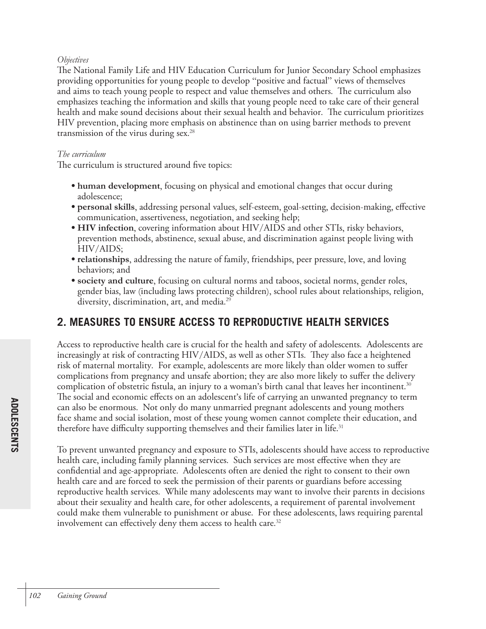#### *Objectives*

The National Family Life and HIV Education Curriculum for Junior Secondary School emphasizes providing opportunities for young people to develop "positive and factual" views of themselves and aims to teach young people to respect and value themselves and others. The curriculum also emphasizes teaching the information and skills that young people need to take care of their general health and make sound decisions about their sexual health and behavior. The curriculum prioritizes HIV prevention, placing more emphasis on abstinence than on using barrier methods to prevent transmission of the virus during sex. 28

#### *The curriculum*

The curriculum is structured around five topics:

- **human development**, focusing on physical and emotional changes that occur during adolescence;
- **personal skills**, addressing personal values, self-esteem, goal-setting, decision-making, effective communication, assertiveness, negotiation, and seeking help;
- **HIV infection**, covering information about HIV/AIDS and other STIs, risky behaviors, prevention methods, abstinence, sexual abuse, and discrimination against people living with HIV/AIDS;
- **relationships**, addressing the nature of family, friendships, peer pressure, love, and loving behaviors; and
- **society and culture**, focusing on cultural norms and taboos, societal norms, gender roles, gender bias, law (including laws protecting children), school rules about relationships, religion, diversity, discrimination, art, and media. 29

# **2. MEASURES TO ENSURE ACCESS TO REPRODUCTIVE HEALTH SERVICES**

Access to reproductive health care is crucial for the health and safety of adolescents. Adolescents are increasingly at risk of contracting HIV/AIDS, as well as other STIs. They also face a heightened risk of maternal mortality. For example, adolescents are more likely than older women to suffer complications from pregnancy and unsafe abortion; they are also more likely to suffer the delivery complication of obstetric fistula, an injury to a woman's birth canal that leaves her incontinent. 30 The social and economic effects on an adolescent's life of carrying an unwanted pregnancy to term can also be enormous. Not only do many unmarried pregnant adolescents and young mothers face shame and social isolation, most of these young women cannot complete their education, and therefore have difficulty supporting themselves and their families later in life.<sup>31</sup>

To prevent unwanted pregnancy and exposure to STIs, adolescents should have access to reproductive health care, including family planning services. Such services are most effective when they are confidential and age-appropriate. Adolescents often are denied the right to consent to their own health care and are forced to seek the permission of their parents or guardians before accessing reproductive health services. While many adolescents may want to involve their parents in decisions about their sexuality and health care, for other adolescents, a requirement of parental involvement could make them vulnerable to punishment or abuse. For these adolescents, laws requiring parental involvement can effectively deny them access to health care. 32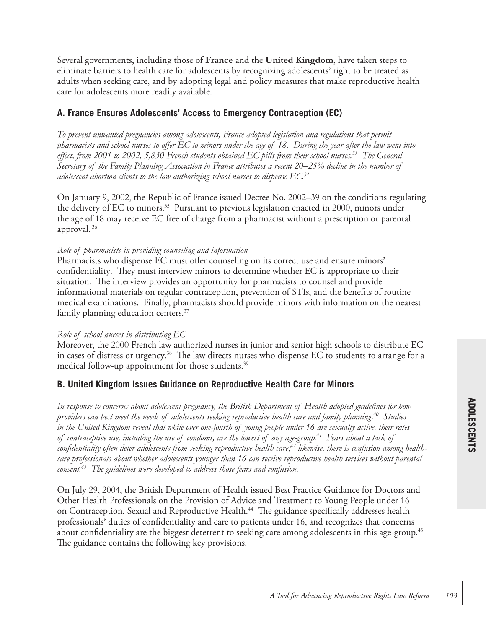Several governments, including those of **France** and the **United Kingdom**, have taken steps to eliminate barriers to health care for adolescents by recognizing adolescents' right to be treated as adults when seeking care, and by adopting legal and policy measures that make reproductive health care for adolescents more readily available.

## **A. France Ensures Adolescents' Access to Emergency Contraception (EC)**

*To prevent unwanted pregnancies among adolescents, France adopted legislation and regulations that permit pharmacists and school nurses to offer EC to minors under the age of 18. During the year after the law went into effect, from 2001 to 2002, 5,830 French students obtained EC pills from their school nurses.33 The General Secretary of the Family Planning Association in France attributes a recent 20–25% decline in the number of adolescent abortion clients to the law authorizing school nurses to dispense EC.34*

On January 9, 2002, the Republic of France issued Decree No. 2002–39 on the conditions regulating the delivery of EC to minors. 35 Pursuant to previous legislation enacted in 2000, minors under the age of 18 may receive EC free of charge from a pharmacist without a prescription or parental approval. 36

#### *Role of pharmacists in providing counseling and information*

Pharmacists who dispense EC must offer counseling on its correct use and ensure minors' confidentiality. They must interview minors to determine whether EC is appropriate to their situation. The interview provides an opportunity for pharmacists to counsel and provide informational materials on regular contraception, prevention of STIs, and the benefits of routine medical examinations. Finally, pharmacists should provide minors with information on the nearest family planning education centers.<sup>37</sup>

#### *Role of school nurses in distributing EC*

Moreover, the 2000 French law authorized nurses in junior and senior high schools to distribute EC in cases of distress or urgency. $^{38}$  The law directs nurses who dispense EC to students to arrange for a medical follow-up appointment for those students. 39

## **B. United Kingdom Issues Guidance on Reproductive Health Care for Minors**

*In response to concerns about adolescent pregnancy, the British Department of Health adopted guidelines for how providers can best meet the needs of adolescents seeking reproductive health care and family planning.40 Studies in the United Kingdom reveal that while over one-fourth of young people under 16 are sexually active, their rates of contraceptive use, including the use of condoms, are the lowest of any age-group.41 Fears about a lack of*  confidentiality often deter adolescents from seeking reproductive health care,<sup>42</sup> likewise, there is confusion among health*care professionals about whether adolescents younger than 16 can receive reproductive health services without parental consent.43 The guidelines were developed to address those fears and confusion.* 

On July 29, 2004, the British Department of Health issued Best Practice Guidance for Doctors and Other Health Professionals on the Provision of Advice and Treatment to Young People under 16 on Contraception, Sexual and Reproductive Health. 44 The guidance specifically addresses health professionals' duties of confidentiality and care to patients under 16, and recognizes that concerns about confidentiality are the biggest deterrent to seeking care among adolescents in this age-group. 45 The guidance contains the following key provisions.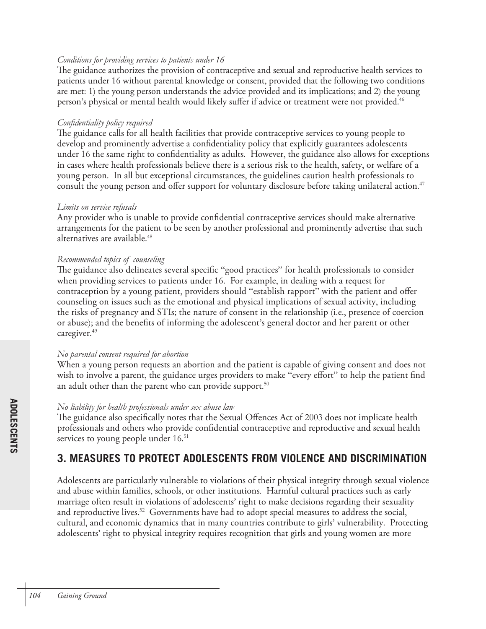#### *Conditions for providing services to patients under 16*

The guidance authorizes the provision of contraceptive and sexual and reproductive health services to patients under 16 without parental knowledge or consent, provided that the following two conditions are met: 1) the young person understands the advice provided and its implications; and 2) the young person's physical or mental health would likely suffer if advice or treatment were not provided. 46

#### *Confidentiality policy required*

The guidance calls for all health facilities that provide contraceptive services to young people to develop and prominently advertise a confidentiality policy that explicitly guarantees adolescents under 16 the same right to confidentiality as adults. However, the guidance also allows for exceptions in cases where health professionals believe there is a serious risk to the health, safety, or welfare of a young person. In all but exceptional circumstances, the guidelines caution health professionals to consult the young person and offer support for voluntary disclosure before taking unilateral action. 47

#### *Limits on service refusals*

Any provider who is unable to provide confidential contraceptive services should make alternative arrangements for the patient to be seen by another professional and prominently advertise that such alternatives are available. 48

#### *Recommended topics of counseling*

The guidance also delineates several specific "good practices" for health professionals to consider when providing services to patients under 16. For example, in dealing with a request for contraception by a young patient, providers should "establish rapport" with the patient and offer counseling on issues such as the emotional and physical implications of sexual activity, including the risks of pregnancy and STIs; the nature of consent in the relationship (i.e., presence of coercion or abuse); and the benefits of informing the adolescent's general doctor and her parent or other caregiver. 49

#### *No parental consent required for abortion*

When a young person requests an abortion and the patient is capable of giving consent and does not wish to involve a parent, the guidance urges providers to make "every effort" to help the patient find an adult other than the parent who can provide support. 50

#### *No liability for health professionals under sex abuse law*

The guidance also specifically notes that the Sexual Offences Act of 2003 does not implicate health professionals and others who provide confidential contraceptive and reproductive and sexual health services to young people under 16.<sup>51</sup>

# **3. MEASURES TO PROTECT ADOLESCENTS FROM VIOLENCE AND DISCRIMINATION**

Adolescents are particularly vulnerable to violations of their physical integrity through sexual violence and abuse within families, schools, or other institutions. Harmful cultural practices such as early marriage often result in violations of adolescents' right to make decisions regarding their sexuality and reproductive lives. 52 Governments have had to adopt special measures to address the social, cultural, and economic dynamics that in many countries contribute to girls' vulnerability. Protecting adolescents' right to physical integrity requires recognition that girls and young women are more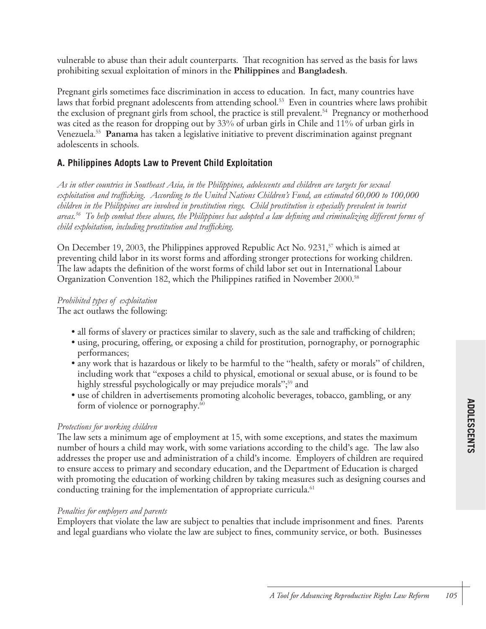vulnerable to abuse than their adult counterparts. That recognition has served as the basis for laws prohibiting sexual exploitation of minors in the **Philippines** and **Bangladesh**.

Pregnant girls sometimes face discrimination in access to education. In fact, many countries have laws that forbid pregnant adolescents from attending school. 53 Even in countries where laws prohibit the exclusion of pregnant girls from school, the practice is still prevalent. 54 Pregnancy or motherhood was cited as the reason for dropping out by 33% of urban girls in Chile and 11% of urban girls in Venezuela. 55 **Panama** has taken a legislative initiative to prevent discrimination against pregnant adolescents in schools.

## **A. Philippines Adopts Law to Prevent Child Exploitation**

*As in other countries in Southeast Asia, in the Philippines, adolescents and children are targets for sexual exploitation and trafficking. According to the United Nations Children's Fund, an estimated 60,000 to 100,000 children in the Philippines are involved in prostitution rings. Child prostitution is especially prevalent in tourist areas.56 To help combat these abuses, the Philippines has adopted a law defining and criminalizing different forms of child exploitation, including prostitution and trafficking.* 

On December 19, 2003, the Philippines approved Republic Act No. 9231,<sup>57</sup> which is aimed at preventing child labor in its worst forms and affording stronger protections for working children. The law adapts the definition of the worst forms of child labor set out in International Labour Organization Convention 182, which the Philippines ratified in November 2000.<sup>58</sup>

#### *Prohibited types of exploitation*

The act outlaws the following:

- all forms of slavery or practices similar to slavery, such as the sale and trafficking of children;
- using, procuring, offering, or exposing a child for prostitution, pornography, or pornographic performances;
- any work that is hazardous or likely to be harmful to the "health, safety or morals" of children, including work that "exposes a child to physical, emotional or sexual abuse, or is found to be highly stressful psychologically or may prejudice morals";<sup>59</sup> and
- use of children in advertisements promoting alcoholic beverages, tobacco, gambling, or any form of violence or pornography.<sup>60</sup>

#### *Protections for working children*

The law sets a minimum age of employment at 15, with some exceptions, and states the maximum number of hours a child may work, with some variations according to the child's age. The law also addresses the proper use and administration of a child's income. Employers of children are required to ensure access to primary and secondary education, and the Department of Education is charged with promoting the education of working children by taking measures such as designing courses and conducting training for the implementation of appropriate curricula. 61

#### *Penalties for employers and parents*

Employers that violate the law are subject to penalties that include imprisonment and fines. Parents and legal guardians who violate the law are subject to fines, community service, or both. Businesses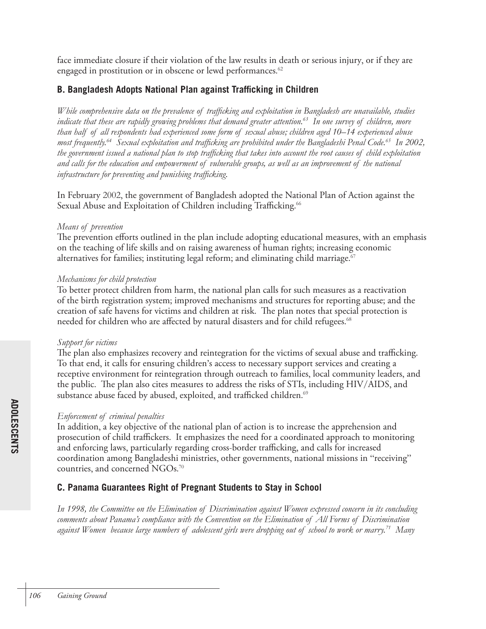face immediate closure if their violation of the law results in death or serious injury, or if they are engaged in prostitution or in obscene or lewd performances.<sup>62</sup>

## **B. Bangladesh Adopts National Plan against Trafficking in Children**

*While comprehensive data on the prevalence of trafficking and exploitation in Bangladesh are unavailable, studies*  indicate that these are rapidly growing problems that demand greater attention.<sup>63</sup> In one survey of children, more *than half of all respondents had experienced some form of sexual abuse; children aged 10*–*14 experienced abuse most frequently.64 Sexual exploitation and trafficking are prohibited under the Bangladeshi Penal Code.65 In 2002, the government issued a national plan to stop trafficking that takes into account the root causes of child exploitation and calls for the education and empowerment of vulnerable groups, as well as an improvement of the national infrastructure for preventing and punishing trafficking.*

In February 2002, the government of Bangladesh adopted the National Plan of Action against the Sexual Abuse and Exploitation of Children including Trafficking. 66

#### *Means of prevention*

The prevention efforts outlined in the plan include adopting educational measures, with an emphasis on the teaching of life skills and on raising awareness of human rights; increasing economic alternatives for families; instituting legal reform; and eliminating child marriage. $^{67}$ 

#### *Mechanisms for child protection*

To better protect children from harm, the national plan calls for such measures as a reactivation of the birth registration system; improved mechanisms and structures for reporting abuse; and the creation of safe havens for victims and children at risk. The plan notes that special protection is needed for children who are affected by natural disasters and for child refugees. 68

#### *Support for victims*

The plan also emphasizes recovery and reintegration for the victims of sexual abuse and trafficking. To that end, it calls for ensuring children's access to necessary support services and creating a receptive environment for reintegration through outreach to families, local community leaders, and the public. The plan also cites measures to address the risks of STIs, including HIV/AIDS, and substance abuse faced by abused, exploited, and trafficked children. $^{69}$ 

#### *Enforcement of criminal penalties*

In addition, a key objective of the national plan of action is to increase the apprehension and prosecution of child traffickers. It emphasizes the need for a coordinated approach to monitoring and enforcing laws, particularly regarding cross-border trafficking, and calls for increased coordination among Bangladeshi ministries, other governments, national missions in "receiving" countries, and concerned NGOs. 70

## **C. Panama Guarantees Right of Pregnant Students to Stay in School**

*In 1998, the Committee on the Elimination of Discrimination against Women expressed concern in its concluding comments about Panama's compliance with the Convention on the Elimination of All Forms of Discrimination against Women because large numbers of adolescent girls were dropping out of school to work or marry.71 Many*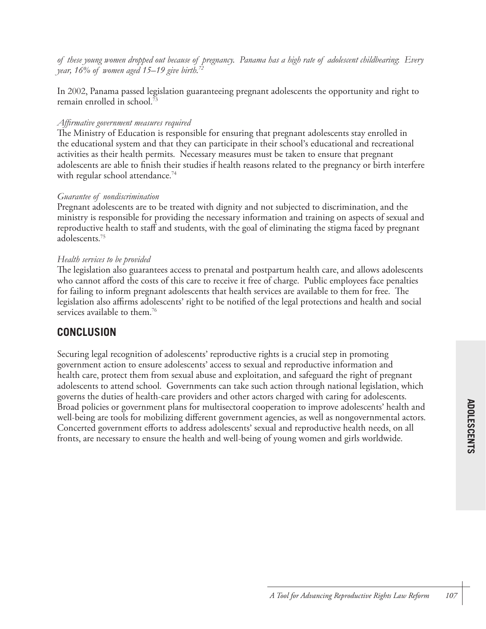*of these young women dropped out because of pregnancy. Panama has a high rate of adolescent childbearing*: *Every year, 16% of women aged 15*–*19 give birth.72*

In 2002, Panama passed legislation guaranteeing pregnant adolescents the opportunity and right to remain enrolled in school. 73

#### *Affirmative government measures required*

The Ministry of Education is responsible for ensuring that pregnant adolescents stay enrolled in the educational system and that they can participate in their school's educational and recreational activities as their health permits. Necessary measures must be taken to ensure that pregnant adolescents are able to finish their studies if health reasons related to the pregnancy or birth interfere with regular school attendance. 74

#### *Guarantee of nondiscrimination*

Pregnant adolescents are to be treated with dignity and not subjected to discrimination, and the ministry is responsible for providing the necessary information and training on aspects of sexual and reproductive health to staff and students, with the goal of eliminating the stigma faced by pregnant adolescents. 75

#### *Health services to be provided*

The legislation also guarantees access to prenatal and postpartum health care, and allows adolescents who cannot afford the costs of this care to receive it free of charge. Public employees face penalties for failing to inform pregnant adolescents that health services are available to them for free. The legislation also affirms adolescents' right to be notified of the legal protections and health and social services available to them. 76

## **CONCLUSION**

Securing legal recognition of adolescents' reproductive rights is a crucial step in promoting government action to ensure adolescents' access to sexual and reproductive information and health care, protect them from sexual abuse and exploitation, and safeguard the right of pregnant adolescents to attend school. Governments can take such action through national legislation, which governs the duties of health-care providers and other actors charged with caring for adolescents. Broad policies or government plans for multisectoral cooperation to improve adolescents' health and well-being are tools for mobilizing different government agencies, as well as nongovernmental actors. Concerted government efforts to address adolescents' sexual and reproductive health needs, on all fronts, are necessary to ensure the health and well-being of young women and girls worldwide.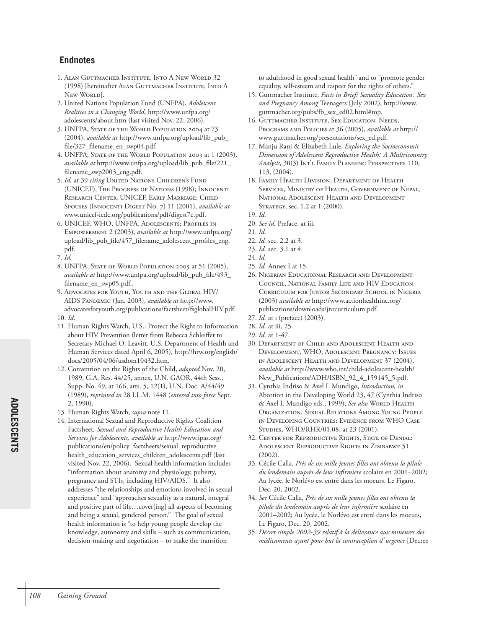- 1. ALAN GUTTMACHER INSTITUTE, INTO A NEW WORLD 32 (1998) [hereinafter ALAN GUTTMACHER INSTITUTE, INTO A NEW WORLD].
- 2. United Nations Population Fund (UNFPA), *Adolescent Realities in a Changing World*, http://www.unfpa.org/ adolescents/about.htm (last visited Nov. 22, 2006).
- 3. UNFPA, STATE OF THE WORLD POPULATION 2004 at 73 (2004), *available at* http://www.unfpa.org/upload/lib\_pub\_ file/327\_filename\_en\_swp04.pdf.
- 4. UNFPA, STATE OF THE WORLD POPULATION 2003 at 1 (2003), *available at* http://www.unfpa.org/upload/lib\_pub\_file/221\_ filename\_swp2003\_eng.pdf.
- 5. *Id.* at 39 *citing* UNITED NATIONS CHILDREN'S FUND (UNICEF), THE PROGRESS OF NATIONS (1998); INNOCENTI RESEARCH CENTER, UNICEF, EARLY MARRIAGE: CHILD SPOUSES (INNOCENTI DIGEST NO. 7) 11 (2001), *available at* www.unicef-icdc.org/publications/pdf/digest7e.pdf.
- 6. UNICEF, WHO, UNFPA, ADOLESCENTS: PROFILES IN EMPOWERMENT 2 (2003), *available at* http://www.unfpa.org/ upload/lib\_pub\_file/457\_filename\_adolescent\_profiles\_eng. pdf.
- 7. *Id.*
- 8. UNFPA, STATE OF WORLD POPULATION 2005 at 51 (2005), *available at* http://www.unfpa.org/upload/lib\_pub\_file/493\_ filename\_en\_swp05.pdf..
- 9. ADVOCATES FOR YOUTH, YOUTH AND THE GLOBAL HIV/ AIDS PANDEMIC (Jan. 2003), *available at* http://www. advocatesforyouth.org/publications/factsheet/fsglobalHIV.pdf. 10. *Id.*
- 11. Human Rights Watch, U.S.: Protect the Right to Information about HIV Prevention (letter from Rebecca Schleiffer to Secretary Michael O. Leavitt, U.S. Department of Health and Human Services dated April 6, 2005), http://hrw.org/english/ docs/2005/04/06/usdom10432.htm.
- 12. Convention on the Rights of the Child, *adopted* Nov. 20, 1989, G.A. Res. 44/25, annex, U.N. GAOR, 44th Sess., Supp. No. 49, at 166, arts. 5, 12(1), U.N. Doc. A/44/49 (1989), *reprinted in* 28 I.L.M. 1448 (*entered into force* Sept. 2, 1990).
- 13. Human Rights Watch, *supra* note 11.
- 14. International Sexual and Reproductive Rights Coalition Factsheet*, Sexual and Reproductive Health Education and Services for Adolescents, available at* http://www.ipas.org/ publications/en/policy\_factsheets/sexual\_reproductive\_ health\_education\_services\_children\_adolescents.pdf (last visited Nov. 22, 2006). Sexual health information includes "information about anatomy and physiology, puberty, pregnancy and STIs, including HIV/AIDS." It also addresses "the relationships and emotions involved in sexual experience" and "approaches sexuality as a natural, integral and positive part of life…cover[ing] all aspects of becoming and being a sexual, gendered person." The goal of sexual health information is "to help young people develop the knowledge, autonomy and skills – such as communication, decision-making and negotiation – to make the transition

to adulthood in good sexual health" and to "promote gender equality, self-esteem and respect for the rights of others."

- 15. Guttmacher Institute, *Facts in Brief: Sexuality Education: Sex and Pregnancy Among* Teenagers (July 2002), http://www. guttmacher.org/pubs/fb\_sex\_ed02.html#top.
- 16. GUTTMACHER INSTITUTE, SEX EDUCATION: NEEDS, PROGRAMS AND POLICIES at 36 (2005), *available at* http:// www.guttmacher.org/presentations/sex\_ed.pdf.
- 17. Manju Rani & Elizabeth Lule, *Exploring the Socioeconomic Dimension of Adolescent Reproductive Health: A Multricountry Analysis*, 30(3) INT'L FAMILY PLANNING PERSPECTIVES 110, 113, (2004).
- 18. FAMILY HEALTH DIVISION, DEPARTMENT OF HEALTH SERVICES, MINISTRY OF HEALTH, GOVERNMENT OF NEPAL, NATIONAL ADOLESCENT HEALTH AND DEVELOPMENT STRATEGY, sec. 1.2 at 1 (2000).
- 19. *Id.*
- 20. *See id.* Preface, at iii*.*
- 21. *Id.*
- 22. *Id.* sec. 2.2 at 3.
- 23. *Id.* sec. 3.1 at 4.
- 24. *Id.*
- 25. *Id.* Annex I at 15.
- 26. NIGERIAN EDUCATIONAL RESEARCH AND DEVELOPMENT COUNCIL, NATIONAL FAMILY LIFE AND HIV EDUCATION CURRICULUM FOR JUNIOR SECONDARY SCHOOL IN NIGERIA (2003) *available at* http://www.actionhealthinc.org/ publications/downloads/jnrcurriculum.pdf.
- 27. *Id.* at i (preface) (2003).
- 28. *Id.* at iii, 25.
- 29. *Id.* at 1-47.
- 30. DEPARTMENT OF CHILD AND ADOLESCENT HEALTH AND DEVELOPMENT, WHO, ADOLESCENT PREGNANCY: ISSUES IN ADOLESCENT HEALTH AND DEVELOPMENT 37 (2004), *available at* http://www.who.int/child-adolescent-health/ New\_Publications/ADH/ISBN\_92\_4\_159145\_5.pdf.
- 31. Cynthia Indriso & Axel I. Mundigo, *Introduction, in* Abortion in the Developing World 23, 47 (Cynthia Indriso & Axel I. Mundigo eds., 1999); *See also* WORLD HEALTH ORGANIZATION, SEXUAL RELATIONS AMONG YOUNG PEOPLE IN DEVELOPING COUNTRIES: EVIDENCE FROM WHO CASE STUDIES, WHO/RHR/01.08, at 23 (2001).
- 32. CENTER FOR REPRODUCTIVE RIGHTS, STATE OF DENIAL: ADOLESCENT REPRODUCTIVE RIGHTS IN ZIMBABWE 51 (2002).
- 33. Cécile Calla, *Près de six mille jeunes filles ont obtenu la pilule du lendemain auprès de leur infirmière* scolaire en 2001–2002; Au lycée, le Norlévo est entré dans les moeurs, Le Figaro, Dec. 20, 2002.
- 34. *See* Cécile Calla, *Près de six mille jeunes filles ont obtenu la pilule du lendemain auprès de leur infirmière* scolaire en 2001–2002; Au lycée, le Norlévo est entré dans les moeurs, Le Figaro, Dec. 20, 2002.
- 35. *Décret simple 2002-39 relatif à la délivrance aux mineures des médicaments ayant pour but la contraception d'urgence* [Decree